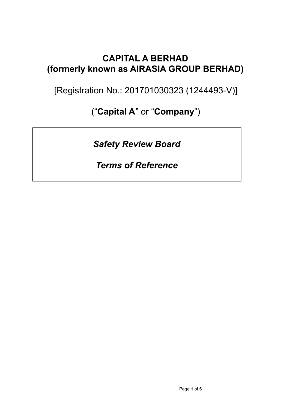## **CAPITAL A BERHAD (formerly known as AIRASIA GROUP BERHAD)**

[Registration No.: 201701030323 (1244493-V)]

("**Capital A**" or "**Company**")

*Safety Review Board*

*Terms of Reference*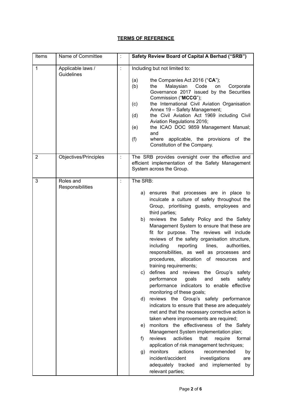## **TERMS OF REFERENCE**

| Items          | Name of Committee               |                      | Safety Review Board of Capital A Berhad ("SRB")                                                                                                                                                                                                                                                                                                                                                                                                                                                                                                                                                                                                                                                                                                                                                                                                                                                                                                                                                                                                                                                                                                                                                                                                                                                 |
|----------------|---------------------------------|----------------------|-------------------------------------------------------------------------------------------------------------------------------------------------------------------------------------------------------------------------------------------------------------------------------------------------------------------------------------------------------------------------------------------------------------------------------------------------------------------------------------------------------------------------------------------------------------------------------------------------------------------------------------------------------------------------------------------------------------------------------------------------------------------------------------------------------------------------------------------------------------------------------------------------------------------------------------------------------------------------------------------------------------------------------------------------------------------------------------------------------------------------------------------------------------------------------------------------------------------------------------------------------------------------------------------------|
| $\mathbf{1}$   | Applicable laws /<br>Guidelines | ÷                    | Including but not limited to:<br>the Companies Act 2016 ("CA");<br>(a)<br>Malaysian Code<br>the<br>Corporate<br>(b)<br>on<br>Governance 2017 issued by the Securities<br>Commission ("MCCG");<br>the International Civil Aviation Organisation<br>(c)<br>Annex 19 - Safety Management;<br>the Civil Aviation Act 1969 including Civil<br>(d)<br>Aviation Regulations 2016;<br>the ICAO DOC 9859 Management Manual;<br>(e)<br>and<br>where applicable, the provisions of the<br>(f)<br>Constitution of the Company.                                                                                                                                                                                                                                                                                                                                                                                                                                                                                                                                                                                                                                                                                                                                                                              |
| $\overline{2}$ | Objectives/Principles           | $\ddot{\phantom{a}}$ | The SRB provides oversight over the effective and<br>efficient implementation of the Safety Management<br>System across the Group.                                                                                                                                                                                                                                                                                                                                                                                                                                                                                                                                                                                                                                                                                                                                                                                                                                                                                                                                                                                                                                                                                                                                                              |
| 3              | Roles and<br>Responsibilities   | $\ddot{\cdot}$       | The SRB:<br>a) ensures that processes are in place to<br>inculcate a culture of safety throughout the<br>Group, prioritising guests, employees and<br>third parties;<br>b) reviews the Safety Policy and the Safety<br>Management System to ensure that these are<br>fit for purpose. The reviews will include<br>reviews of the safety organisation structure,<br>including<br>reporting<br>lines,<br>authorities,<br>responsibilities, as well as processes and<br>procedures, allocation of resources and<br>training requirements;<br>defines and reviews the Group's safety<br>C)<br>performance<br>goals<br>sets<br>safety<br>and<br>performance indicators to enable effective<br>monitoring of these goals;<br>reviews the Group's safety performance<br>d)<br>indicators to ensure that these are adequately<br>met and that the necessary corrective action is<br>taken where improvements are required;<br>monitors the effectiveness of the Safety<br>e)<br>Management System implementation plan;<br>reviews<br>activities<br>that<br>formal<br>require<br>f)<br>application of risk management techniques;<br>monitors<br>actions<br>recommended<br>g)<br>by<br>incident/accident<br>investigations<br>are<br>adequately tracked<br>implemented<br>and<br>by<br>relevant parties; |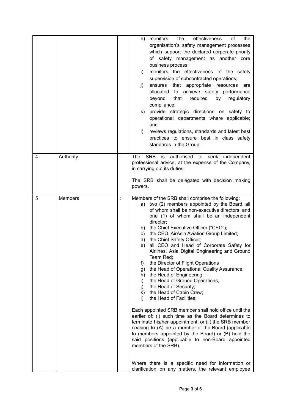|   |           |                      | effectiveness<br>monitors<br>the<br>of<br>the<br>h)<br>organisation's safety management processes<br>which support the declared corporate priority<br>of safety management as another core<br>business process;<br>monitors the effectiveness of the safety<br>i)<br>supervision of subcontracted operations;<br>that appropriate resources<br>ensures<br>j)<br>are<br>to achieve safety performance<br>allocated<br>that<br>required<br>by<br>beyond<br>regulatory<br>compliance;<br>provide strategic directions on safety to<br>k)<br>operational departments where applicable;<br>and<br>reviews regulations, standards and latest best<br>$\vert$<br>practices to ensure best in class safety<br>standards in the Group.                                                                                                                                                                                                                                                                                                                                                                                                                                                                                                   |
|---|-----------|----------------------|---------------------------------------------------------------------------------------------------------------------------------------------------------------------------------------------------------------------------------------------------------------------------------------------------------------------------------------------------------------------------------------------------------------------------------------------------------------------------------------------------------------------------------------------------------------------------------------------------------------------------------------------------------------------------------------------------------------------------------------------------------------------------------------------------------------------------------------------------------------------------------------------------------------------------------------------------------------------------------------------------------------------------------------------------------------------------------------------------------------------------------------------------------------------------------------------------------------------------------|
| 4 | Authority |                      | <b>SRB</b><br>authorised to seek independent<br>is<br>The<br>professional advice, at the expense of the Company,<br>in carrying out its duties.<br>The SRB shall be delegated with decision making<br>powers.                                                                                                                                                                                                                                                                                                                                                                                                                                                                                                                                                                                                                                                                                                                                                                                                                                                                                                                                                                                                                   |
| 5 | Members   | $\ddot{\phantom{a}}$ | Members of the SRB shall comprise the following:<br>a) two (2) members appointed by the Board, all<br>of whom shall be non-executive directors, and<br>one (1) of whom shall be an independent<br>director;<br>the Chief Executive Officer ("CEO");<br>b)<br>the CEO, AirAsia Aviation Group Limited;<br>c)<br>the Chief Safety Officer;<br>d)<br>all CEO and Head of Corporate Safety for<br>e)<br>Airlines, Asia Digital Engineering and Ground<br>Team Red;<br>f)<br>the Director of Flight Operations<br>the Head of Operational Quality Assurance;<br>g)<br>the Head of Engineering;<br>h)<br>the Head of Ground Operations;<br>i)<br>the Head of Security;<br>j)<br>k) the Head of Cabin Crew;<br>the Head of Facilities;<br>$\mathbf{D}$<br>Each appointed SRB member shall hold office until the<br>earlier of: (i) such time as the Board determines to<br>terminate his/her appointment; or (ii) the SRB member<br>ceasing to (A) be a member of the Board (applicable<br>to members appointed by the Board) or (B) hold the<br>said positions (applicable to non-Board appointed<br>members of the SRB).<br>Where there is a specific need for information or<br>clarification on any matters, the relevant employee |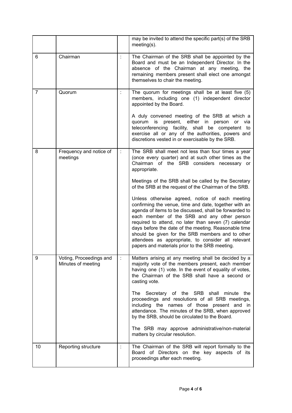|                |                                               |                      | may be invited to attend the specific part(s) of the SRB<br>$meeting(s)$ .                                                                                                                                                                                                                                                                                                                                                                                                                    |
|----------------|-----------------------------------------------|----------------------|-----------------------------------------------------------------------------------------------------------------------------------------------------------------------------------------------------------------------------------------------------------------------------------------------------------------------------------------------------------------------------------------------------------------------------------------------------------------------------------------------|
| 6              | Chairman                                      |                      | The Chairman of the SRB shall be appointed by the<br>Board and must be an Independent Director. In the<br>absence of the Chairman at any meeting, the<br>remaining members present shall elect one amongst<br>themselves to chair the meeting.                                                                                                                                                                                                                                                |
| $\overline{7}$ | Quorum                                        | t.                   | The quorum for meetings shall be at least five (5)<br>members, including one (1) independent director<br>appointed by the Board.                                                                                                                                                                                                                                                                                                                                                              |
|                |                                               |                      | A duly convened meeting of the SRB at which a<br>present, either in person<br>quorum is<br>or via<br>teleconferencing facility, shall be competent to<br>exercise all or any of the authorities, powers and<br>discretions vested in or exercisable by the SRB.                                                                                                                                                                                                                               |
| 8              | Frequency and notice of<br>meetings           |                      | The SRB shall meet not less than four times a year<br>(once every quarter) and at such other times as the<br>Chairman of the SRB considers necessary or<br>appropriate.                                                                                                                                                                                                                                                                                                                       |
|                |                                               |                      | Meetings of the SRB shall be called by the Secretary<br>of the SRB at the request of the Chairman of the SRB.                                                                                                                                                                                                                                                                                                                                                                                 |
|                |                                               |                      | Unless otherwise agreed, notice of each meeting<br>confirming the venue, time and date, together with an<br>agenda of items to be discussed, shall be forwarded to<br>each member of the SRB and any other person<br>required to attend, no later than seven (7) calendar<br>days before the date of the meeting. Reasonable time<br>should be given for the SRB members and to other<br>attendees as appropriate, to consider all relevant<br>papers and materials prior to the SRB meeting. |
| 9              | Voting, Proceedings and<br>Minutes of meeting | $\ddot{\phantom{a}}$ | Matters arising at any meeting shall be decided by a<br>majority vote of the members present, each member<br>having one (1) vote. In the event of equality of votes,<br>the Chairman of the SRB shall have a second or<br>casting vote.                                                                                                                                                                                                                                                       |
|                |                                               |                      | The Secretary of the SRB shall minute the<br>proceedings and resolutions of all SRB meetings,<br>including the names of those present and in<br>attendance. The minutes of the SRB, when approved<br>by the SRB, should be circulated to the Board.                                                                                                                                                                                                                                           |
|                |                                               |                      | The SRB may approve administrative/non-material<br>matters by circular resolution.                                                                                                                                                                                                                                                                                                                                                                                                            |
| 10             | Reporting structure                           | t                    | The Chairman of the SRB will report formally to the<br>Board of Directors on the key aspects of its<br>proceedings after each meeting.                                                                                                                                                                                                                                                                                                                                                        |